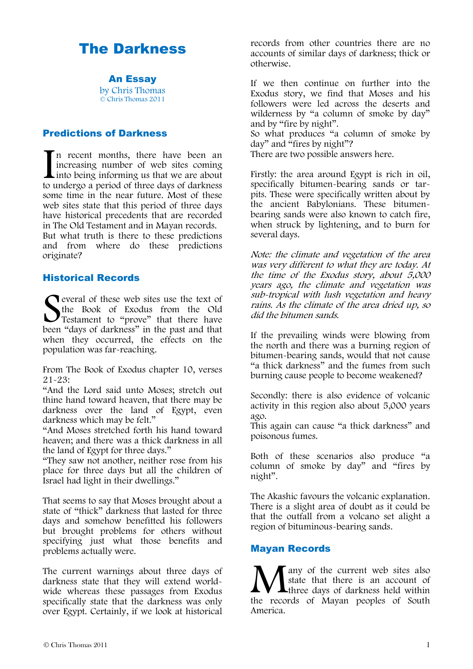# The Darkness

An Essay by Chris Thomas © Chris Thomas 2011

## Predictions of Darkness

In recent months, there have been an increasing number of web sites coming into being informing us that we are about to undergo a period of three days of darkness some time in the near future. Most of these web sites state that this period of three days have historical precedents that are recorded in The Old Testament and in Mayan records.  $\prod_{\text{tot}}$ 

But what truth is there to these predictions and from where do these predictions originate?

## Historical Records

everal of these web sites use the text of the Book of Exodus from the Old Testament to "prove" that there have been "days of darkness" in the past and that when they occurred, the effects on the population was far-reaching. S<sub>been</sub>

From The Book of Exodus chapter 10, verses 21-23:

"And the Lord said unto Moses; stretch out thine hand toward heaven, that there may be darkness over the land of Egypt, even darkness which may be felt."

"And Moses stretched forth his hand toward heaven; and there was a thick darkness in all the land of Egypt for three days."

"They saw not another, neither rose from his place for three days but all the children of Israel had light in their dwellings."

That seems to say that Moses brought about a state of "thick" darkness that lasted for three days and somehow benefitted his followers but brought problems for others without specifying just what those benefits and problems actually were.

The current warnings about three days of darkness state that they will extend worldwide whereas these passages from Exodus specifically state that the darkness was only over Egypt. Certainly, if we look at historical

records from other countries there are no accounts of similar days of darkness; thick or otherwise.

If we then continue on further into the Exodus story, we find that Moses and his followers were led across the deserts and wilderness by "a column of smoke by day" and by "fire by night".

So what produces "a column of smoke by day" and  $\frac{d}{dx}$  fires by night"?

There are two possible answers here.

Firstly: the area around Egypt is rich in oil, specifically bitumen-bearing sands or tarpits. These were specifically written about by the ancient Babylonians. These bitumenbearing sands were also known to catch fire, when struck by lightening, and to burn for several days.

Note: the climate and vegetation of the area was very different to what they are today. At the time of the Exodus story, about 5,000 years ago, the climate and vegetation was sub-tropical with lush vegetation and heavy rains. As the climate of the area dried up, so did the bitumen sands.

If the prevailing winds were blowing from the north and there was a burning region of bitumen-bearing sands, would that not cause "a thick darkness" and the fumes from such burning cause people to become weakened?

Secondly: there is also evidence of volcanic activity in this region also about 5,000 years ago.

This again can cause "a thick darkness" and poisonous fumes.

Both of these scenarios also produce "a column of smoke by day" and "fires by night".

The Akashic favours the volcanic explanation. There is a slight area of doubt as it could be that the outfall from a volcano set alight a region of bituminous-bearing sands.

## Mayan Records

I any of the current web sites also state that there is an account of **If your contract tensor** of darkness held within **M** any of the current web sites also<br>state that there is an account of<br>three days of darkness held within<br>the records of Mayan peoples of South America.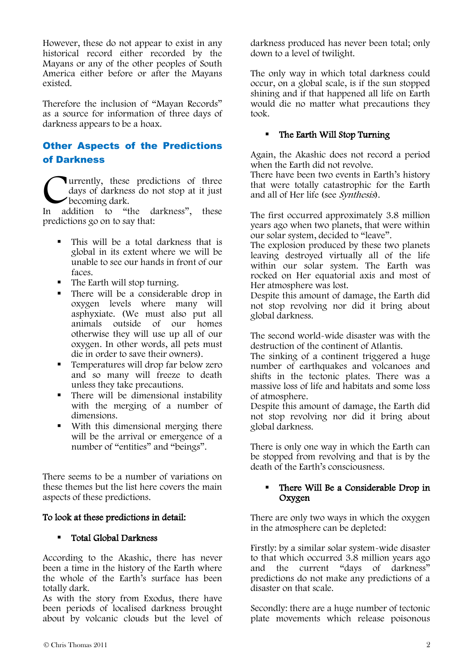However, these do not appear to exist in any historical record either recorded by the Mayans or any of the other peoples of South America either before or after the Mayans existed.

Therefore the inclusion of "Mayan Records" as a source for information of three days of darkness appears to be a hoax.

# Other Aspects of the Predictions of Darkness

urrently, these predictions of three days of darkness do not stop at it just becoming dark. **C**urrently, these predictions of three days of darkness do not stop at it just becoming dark.<br>In addition to "the darkness", these

predictions go on to say that:

- This will be a total darkness that is global in its extent where we will be unable to see our hands in front of our faces.
- The Earth will stop turning.
- There will be a considerable drop in oxygen levels where many will asphyxiate. (We must also put all animals outside of our homes otherwise they will use up all of our oxygen. In other words, all pets must die in order to save their owners).
- Temperatures will drop far below zero and so many will freeze to death unless they take precautions.
- There will be dimensional instability with the merging of a number of dimensions.
- With this dimensional merging there will be the arrival or emergence of a number of "entities" and "beings".

There seems to be a number of variations on these themes but the list here covers the main aspects of these predictions.

#### To look at these predictions in detail:

#### Total Global Darkness

According to the Akashic, there has never been a time in the history of the Earth where the whole of the Earth's surface has been totally dark.

As with the story from Exodus, there have been periods of localised darkness brought about by volcanic clouds but the level of darkness produced has never been total; only down to a level of twilight.

The only way in which total darkness could occur, on a global scale, is if the sun stopped shining and if that happened all life on Earth would die no matter what precautions they took.

#### The Earth Will Stop Turning

Again, the Akashic does not record a period when the Earth did not revolve. There have been two events in Earth's history that were totally catastrophic for the Earth and all of Her life (see Synthesis).

The first occurred approximately 3.8 million years ago when two planets, that were within our solar system, decided to "leave".

The explosion produced by these two planets leaving destroyed virtually all of the life within our solar system. The Earth was rocked on Her equatorial axis and most of Her atmosphere was lost.

Despite this amount of damage, the Earth did not stop revolving nor did it bring about global darkness.

The second world-wide disaster was with the destruction of the continent of Atlantis.

The sinking of a continent triggered a huge number of earthquakes and volcanoes and shifts in the tectonic plates. There was a massive loss of life and habitats and some loss of atmosphere.

Despite this amount of damage, the Earth did not stop revolving nor did it bring about global darkness.

There is only one way in which the Earth can be stopped from revolving and that is by the death of the Earth's consciousness.

#### There Will Be a Considerable Drop in Oxygen

There are only two ways in which the oxygen in the atmosphere can be depleted:

Firstly: by a similar solar system-wide disaster to that which occurred 3.8 million years ago and the current "days of darkness" predictions do not make any predictions of a disaster on that scale.

Secondly: there are a huge number of tectonic plate movements which release poisonous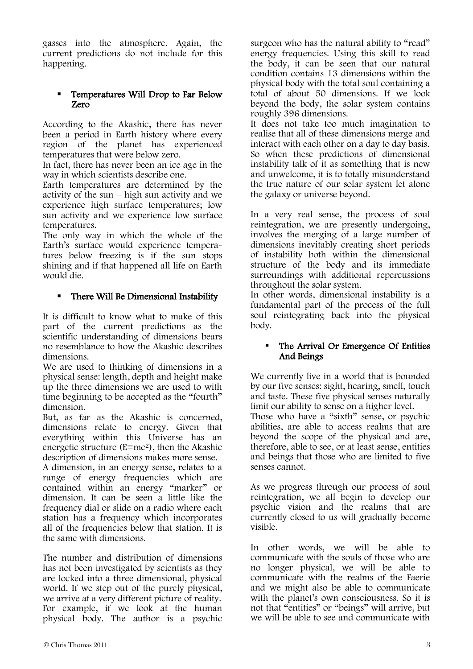gasses into the atmosphere. Again, the current predictions do not include for this happening.

#### Temperatures Will Drop to Far Below Zero

According to the Akashic, there has never been a period in Earth history where every region of the planet has experienced temperatures that were below zero.

In fact, there has never been an ice age in the way in which scientists describe one.

Earth temperatures are determined by the activity of the sun – high sun activity and we experience high surface temperatures; low sun activity and we experience low surface temperatures.

The only way in which the whole of the Earth's surface would experience temperatures below freezing is if the sun stops shining and if that happened all life on Earth would die.

## • There Will Be Dimensional Instability

It is difficult to know what to make of this part of the current predictions as the scientific understanding of dimensions bears no resemblance to how the Akashic describes dimensions.

We are used to thinking of dimensions in a physical sense: length, depth and height make up the three dimensions we are used to with time beginning to be accepted as the "fourth" dimension.

But, as far as the Akashic is concerned, dimensions relate to energy. Given that everything within this Universe has an energetic structure (E=mc2), then the Akashic description of dimensions makes more sense.

A dimension, in an energy sense, relates to a range of energy frequencies which are contained within an energy "marker" or dimension. It can be seen a little like the frequency dial or slide on a radio where each station has a frequency which incorporates all of the frequencies below that station. It is the same with dimensions.

The number and distribution of dimensions has not been investigated by scientists as they are locked into a three dimensional, physical world. If we step out of the purely physical, we arrive at a very different picture of reality. For example, if we look at the human physical body. The author is a psychic

surgeon who has the natural ability to "read" energy frequencies. Using this skill to read the body, it can be seen that our natural condition contains 13 dimensions within the physical body with the total soul containing a total of about 50 dimensions. If we look beyond the body, the solar system contains roughly 396 dimensions.

It does not take too much imagination to realise that all of these dimensions merge and interact with each other on a day to day basis. So when these predictions of dimensional instability talk of it as something that is new and unwelcome, it is to totally misunderstand the true nature of our solar system let alone the galaxy or universe beyond.

In a very real sense, the process of soul reintegration, we are presently undergoing, involves the merging of a large number of dimensions inevitably creating short periods of instability both within the dimensional structure of the body and its immediate surroundings with additional repercussions throughout the solar system.

In other words, dimensional instability is a fundamental part of the process of the full soul reintegrating back into the physical body.

#### The Arrival Or Emergence Of Entities And Beings

We currently live in a world that is bounded by our five senses: sight, hearing, smell, touch and taste. These five physical senses naturally limit our ability to sense on a higher level. Those who have a "sixth" sense, or psychic abilities, are able to access realms that are beyond the scope of the physical and are, therefore, able to see, or at least sense, entities and beings that those who are limited to five senses cannot.

As we progress through our process of soul reintegration, we all begin to develop our psychic vision and the realms that are currently closed to us will gradually become visible.

In other words, we will be able to communicate with the souls of those who are no longer physical, we will be able to communicate with the realms of the Faerie and we might also be able to communicate with the planet's own consciousness. So it is not that "entities" or "beings" will arrive, but we will be able to see and communicate with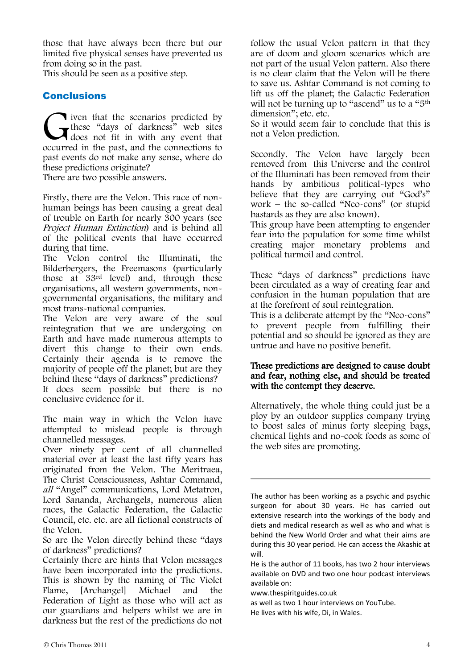those that have always been there but our limited five physical senses have prevented us from doing so in the past.

This should be seen as a positive step.

## Conclusions

**l** iven that the scenarios predicted by these "days of darkness" web sites does not fit in with any event that These "days of darkness" web sites<br>does not fit in with any event that<br>occurred in the past, and the connections to past events do not make any sense, where do these predictions originate?

There are two possible answers.

Firstly, there are the Velon. This race of nonhuman beings has been causing a great deal of trouble on Earth for nearly 300 years (see Project Human Extinction) and is behind all of the political events that have occurred during that time.

The Velon control the Illuminati, the Bilderbergers, the Freemasons (particularly those at 33rd level) and, through these organisations, all western governments, nongovernmental organisations, the military and most trans-national companies.

The Velon are very aware of the soul reintegration that we are undergoing on Earth and have made numerous attempts to divert this change to their own ends. Certainly their agenda is to remove the majority of people off the planet; but are they behind these "days of darkness" predictions? It does seem possible but there is no conclusive evidence for it.

The main way in which the Velon have attempted to mislead people is through channelled messages.

Over ninety per cent of all channelled material over at least the last fifty years has originated from the Velon. The Meritraea, The Christ Consciousness, Ashtar Command, all "Angel" communications, Lord Metatron, Lord Sananda, Archangels, numerous alien races, the Galactic Federation, the Galactic Council, etc. etc. are all fictional constructs of the Velon.

So are the Velon directly behind these "days of darkness" predictions?

Certainly there are hints that Velon messages have been incorporated into the predictions. This is shown by the naming of The Violet Flame, [Archangel] Michael and the Federation of Light as those who will act as our guardians and helpers whilst we are in darkness but the rest of the predictions do not follow the usual Velon pattern in that they are of doom and gloom scenarios which are not part of the usual Velon pattern. Also there is no clear claim that the Velon will be there to save us. Ashtar Command is not coming to lift us off the planet; the Galactic Federation will not be turning up to "ascend" us to a "5<sup>th</sup> dimension"; etc. etc.

So it would seem fair to conclude that this is not a Velon prediction.

Secondly. The Velon have largely been removed from this Universe and the control of the Illuminati has been removed from their hands by ambitious political-types who believe that they are carrying out "God's" work – the so-called "Neo-cons" (or stupid bastards as they are also known).

This group have been attempting to engender fear into the population for some time whilst creating major monetary problems and political turmoil and control.

These "days of darkness" predictions have been circulated as a way of creating fear and confusion in the human population that are at the forefront of soul reintegration.

This is a deliberate attempt by the "Neo-cons" to prevent people from fulfilling their potential and so should be ignored as they are untrue and have no positive benefit.

#### These predictions are designed to cause doubt and fear, nothing else, and should be treated with the contempt they deserve.

Alternatively, the whole thing could just be a ploy by an outdoor supplies company trying to boost sales of minus forty sleeping bags, chemical lights and no-cook foods as some of the web sites are promoting.

The author has been working as a psychic and psychic surgeon for about 30 years. He has carried out extensive research into the workings of the body and diets and medical research as well as who and what is behind the New World Order and what their aims are during this 30 year period. He can access the Akashic at will.

He is the author of 11 books, has two 2 hour interviews available on DVD and two one hour podcast interviews available on:

www.thespiritguides.co.uk

as well as two 1 hour interviews on YouTube.

He lives with his wife, Di, in Wales.